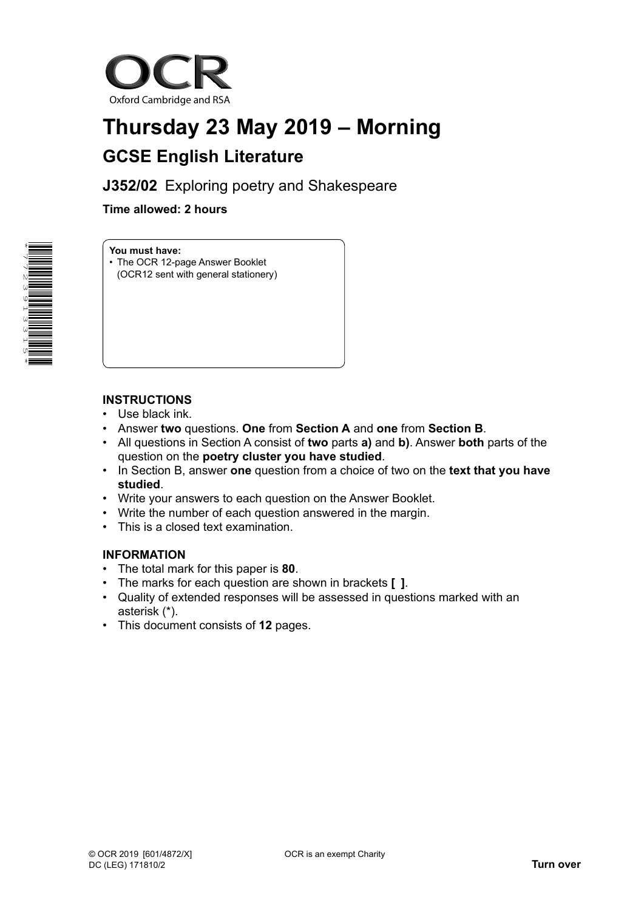

# **Thursday 23 May 2019 – Morning GCSE English Literature**

**J352/02** Exploring poetry and Shakespeare

**Time allowed: 2 hours** 



## **You must have:**

• The OCR 12-page Answer Booklet (OCR12 sent with general stationery)

## **INSTRUCTIONS**

- Use black ink.
- Answer **two** questions. **One** from **Section A** and **one** from **Section B**.
- All questions in Section A consist of **two** parts **a)** and **b)**. Answer **both** parts of the question on the **poetry cluster you have studied**.
- In Section B, answer **one** question from a choice of two on the **text that you have studied**.
- Write your answers to each question on the Answer Booklet.
- Write the number of each question answered in the margin.
- This is a closed text examination.

## **INFORMATION**

- The total mark for this paper is **80**.
- The marks for each question are shown in brackets **[ ]**.
- Quality of extended responses will be assessed in questions marked with an asterisk (\*).
- This document consists of **12** pages.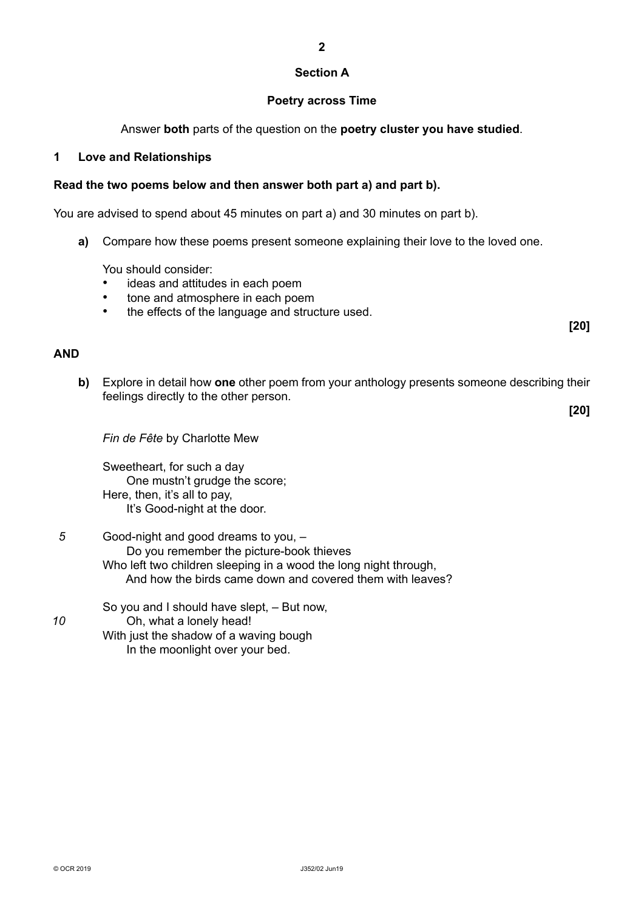#### **Section A**

#### **Poetry across Time**

Answer **both** parts of the question on the **poetry cluster you have studied**.

#### **1 Love and Relationships**

#### **Read the two poems below and then answer both part a) and part b).**

You are advised to spend about 45 minutes on part a) and 30 minutes on part b).

**a)** Compare how these poems present someone explaining their love to the loved one.

You should consider:

- ideas and attitudes in each poem
- tone and atmosphere in each poem
- the effects of the language and structure used.

#### **AND**

**b)** Explore in detail how **one** other poem from your anthology presents someone describing their feelings directly to the other person.

**[20]**

**[20]**

*Fin de Fête* by Charlotte Mew

Sweetheart, for such a day One mustn't grudge the score; Here, then, it's all to pay, It's Good-night at the door.

- Good-night and good dreams to you, Do you remember the picture-book thieves Who left two children sleeping in a wood the long night through, And how the birds came down and covered them with leaves? *5*
- *10*

So you and I should have slept, – But now, Oh, what a lonely head! With just the shadow of a waving bough

In the moonlight over your bed.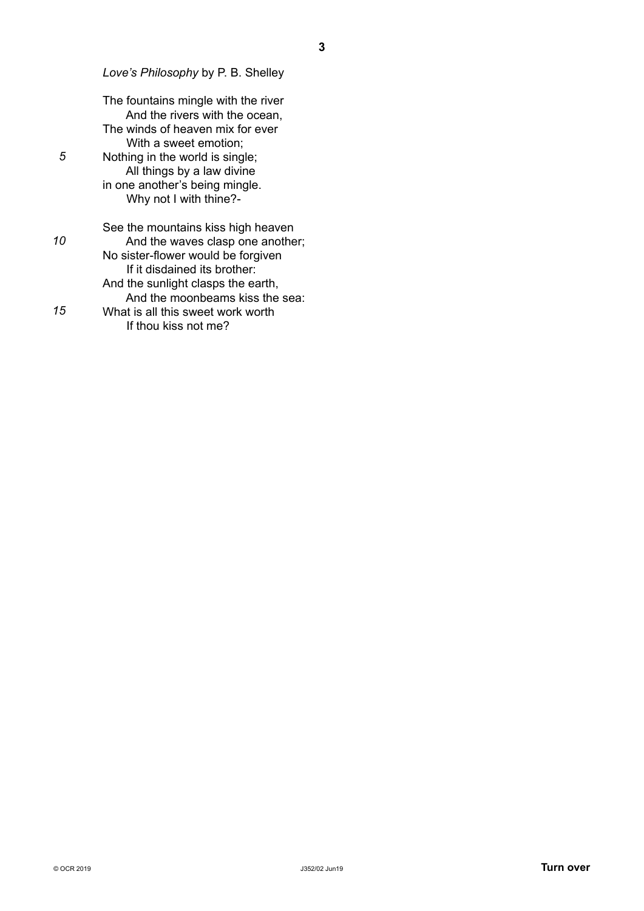*Love's Philosophy* by P. B. Shelley

The fountains mingle with the river And the rivers with the ocean, The winds of heaven mix for ever With a sweet emotion; Nothing in the world is single; All things by a law divine in one another's being mingle. Why not I with thine?-

| See the mountains kiss high heaven |
|------------------------------------|
| And the waves clasp one another;   |
| No sister-flower would be forgiven |
| If it disdained its brother:       |
| And the sunlight clasps the earth, |
| And the moonbeams kiss the sea:    |
| What is all this sweet work worth  |
| If thou kiss not me?               |

*5*

*15*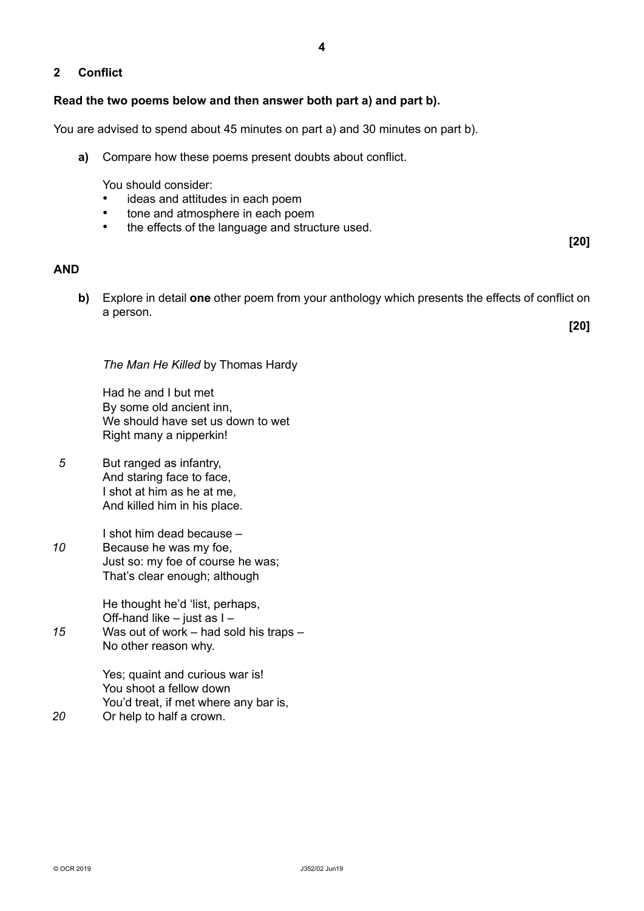## **2 Conflict**

### **Read the two poems below and then answer both part a) and part b).**

You are advised to spend about 45 minutes on part a) and 30 minutes on part b).

**a)** Compare how these poems present doubts about conflict.

You should consider:

- ideas and attitudes in each poem
- tone and atmosphere in each poem
- the effects of the language and structure used.

#### **AND**

**b)** Explore in detail **one** other poem from your anthology which presents the effects of conflict on a person.

**[20]**

**[20]**

*The Man He Killed* by Thomas Hardy

Had he and I but met By some old ancient inn, We should have set us down to wet Right many a nipperkin!

- But ranged as infantry, And staring face to face, I shot at him as he at me, And killed him in his place. *5*
- I shot him dead because Because he was my foe, Just so: my foe of course he was; That's clear enough; although *10*

He thought he'd 'list, perhaps, Off-hand like – just as  $I -$ 

Was out of work – had sold his traps – No other reason why. *15*

Yes; quaint and curious war is! You shoot a fellow down You'd treat, if met where any bar is, Or help to half a crown.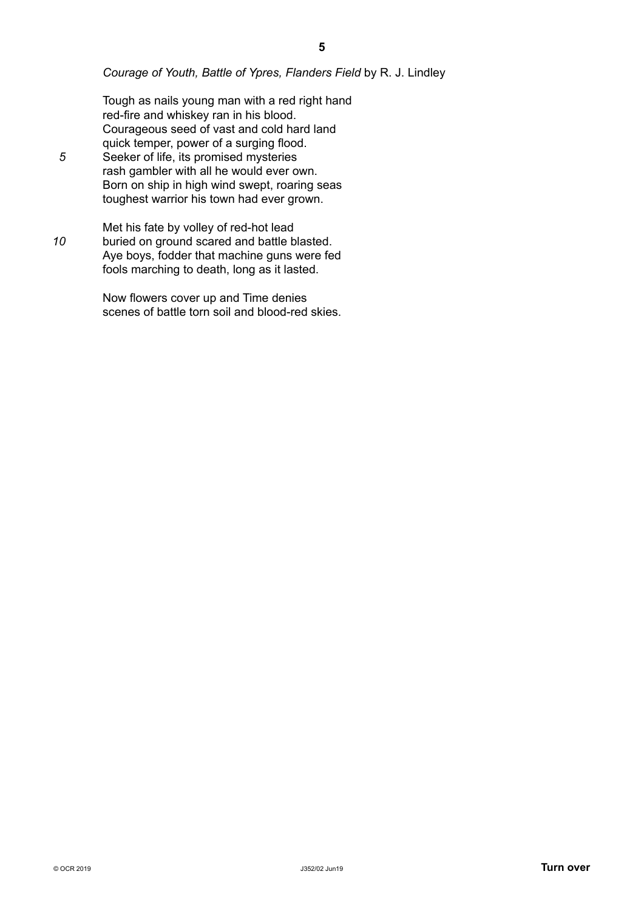*Courage of Youth, Battle of Ypres, Flanders Field* by R. J. Lindley

Tough as nails young man with a red right hand red-fire and whiskey ran in his blood. Courageous seed of vast and cold hard land quick temper, power of a surging flood. Seeker of life, its promised mysteries rash gambler with all he would ever own. Born on ship in high wind swept, roaring seas toughest warrior his town had ever grown.

#### Met his fate by volley of red-hot lead buried on ground scared and battle blasted. Aye boys, fodder that machine guns were fed fools marching to death, long as it lasted. *10*

Now flowers cover up and Time denies scenes of battle torn soil and blood-red skies.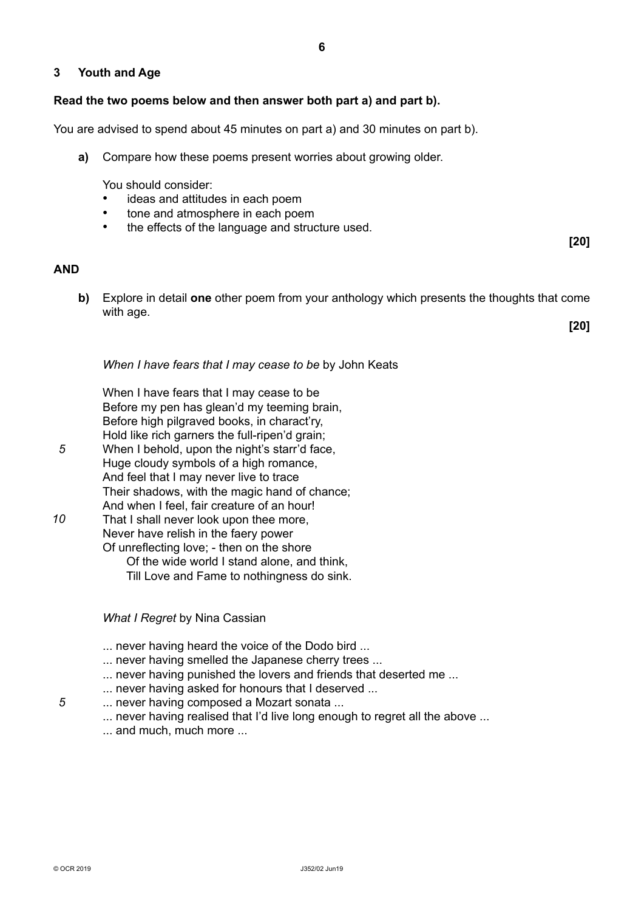#### **3 Youth and Age**

#### **Read the two poems below and then answer both part a) and part b).**

You are advised to spend about 45 minutes on part a) and 30 minutes on part b).

**a)** Compare how these poems present worries about growing older.

You should consider:

- ideas and attitudes in each poem
- tone and atmosphere in each poem
- the effects of the language and structure used.

#### **AND**

**b)** Explore in detail **one** other poem from your anthology which presents the thoughts that come with age.

**[20]**

**[20]**

*When I have fears that I may cease to be* by John Keats

When I have fears that I may cease to be Before my pen has glean'd my teeming brain, Before high pilgraved books, in charact'ry, Hold like rich garners the full-ripen'd grain;

- When I behold, upon the night's starr'd face, Huge cloudy symbols of a high romance, And feel that I may never live to trace Their shadows, with the magic hand of chance; And when I feel, fair creature of an hour! *5*
- That I shall never look upon thee more, Never have relish in the faery power Of unreflecting love; - then on the shore Of the wide world I stand alone, and think, *10*

Till Love and Fame to nothingness do sink.

*What I Regret* by Nina Cassian

- ... never having heard the voice of the Dodo bird ...
- ... never having smelled the Japanese cherry trees ...
- ... never having punished the lovers and friends that deserted me ...
- ... never having asked for honours that I deserved ...
- ... never having composed a Mozart sonata ...
	- ... never having realised that I'd live long enough to regret all the above ...
	- ... and much, much more ...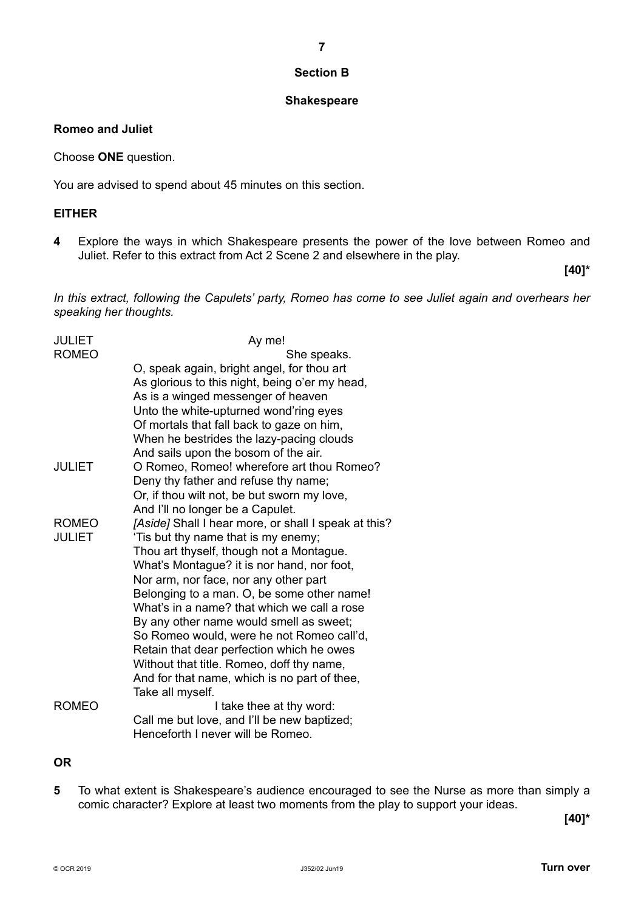#### **Section B**

#### **Shakespeare**

#### **Romeo and Juliet**

Choose **ONE** question.

You are advised to spend about 45 minutes on this section.

## **EITHER**

**4** Explore the ways in which Shakespeare presents the power of the love between Romeo and Juliet. Refer to this extract from Act 2 Scene 2 and elsewhere in the play.

**[40]\*** 

*In this extract, following the Capulets' party, Romeo has come to see Juliet again and overhears her speaking her thoughts.*

| <b>JULIET</b> | Ay me!                                               |
|---------------|------------------------------------------------------|
| <b>ROMEO</b>  | She speaks.                                          |
|               | O, speak again, bright angel, for thou art           |
|               | As glorious to this night, being o'er my head,       |
|               | As is a winged messenger of heaven                   |
|               | Unto the white-upturned wond'ring eyes               |
|               | Of mortals that fall back to gaze on him,            |
|               | When he bestrides the lazy-pacing clouds             |
|               | And sails upon the bosom of the air.                 |
| <b>JULIET</b> | O Romeo, Romeo! wherefore art thou Romeo?            |
|               | Deny thy father and refuse thy name;                 |
|               | Or, if thou wilt not, be but sworn my love,          |
|               | And I'll no longer be a Capulet.                     |
| <b>ROMEO</b>  | [Aside] Shall I hear more, or shall I speak at this? |
| <b>JULIET</b> | 'Tis but thy name that is my enemy;                  |
|               | Thou art thyself, though not a Montague.             |
|               | What's Montague? it is nor hand, nor foot,           |
|               | Nor arm, nor face, nor any other part                |
|               | Belonging to a man. O, be some other name!           |
|               | What's in a name? that which we call a rose          |
|               | By any other name would smell as sweet;              |
|               | So Romeo would, were he not Romeo call'd,            |
|               | Retain that dear perfection which he owes            |
|               | Without that title. Romeo, doff thy name,            |
|               | And for that name, which is no part of thee,         |
|               | Take all myself.                                     |
| <b>ROMEO</b>  | I take thee at thy word:                             |
|               | Call me but love, and I'll be new baptized;          |
|               | Henceforth I never will be Romeo.                    |

## **OR**

**5** To what extent is Shakespeare's audience encouraged to see the Nurse as more than simply a comic character? Explore at least two moments from the play to support your ideas.

**[40]\***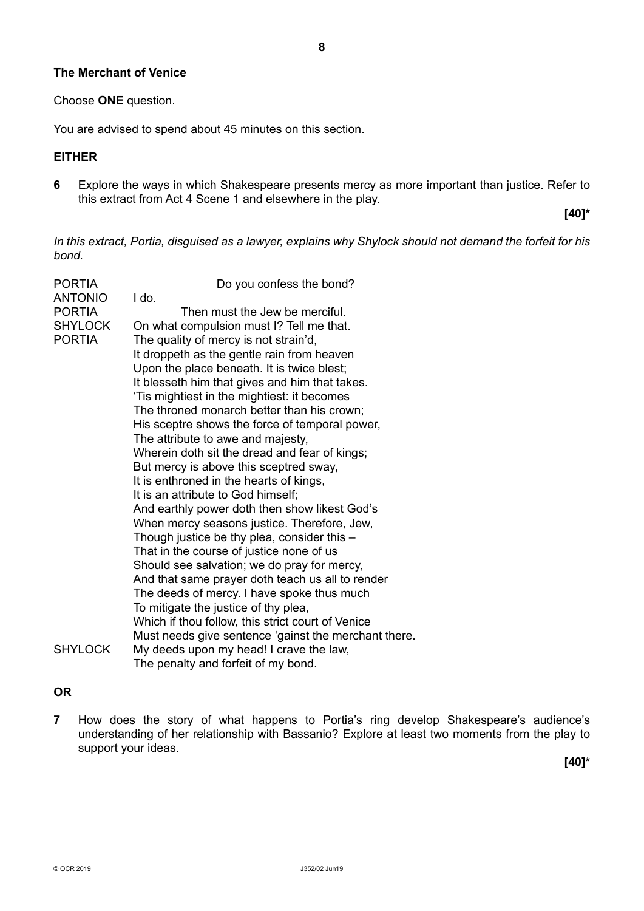## **The Merchant of Venice**

Choose **ONE** question.

You are advised to spend about 45 minutes on this section.

## **EITHER**

**6** Explore the ways in which Shakespeare presents mercy as more important than justice. Refer to this extract from Act 4 Scene 1 and elsewhere in the play.

**[40]\*** 

*In this extract, Portia, disguised as a lawyer, explains why Shylock should not demand the forfeit for his bond.*

| <b>PORTIA</b>  | Do you confess the bond?                             |
|----------------|------------------------------------------------------|
| <b>ANTONIO</b> | I do.                                                |
| <b>PORTIA</b>  | Then must the Jew be merciful.                       |
| <b>SHYLOCK</b> | On what compulsion must I? Tell me that.             |
| <b>PORTIA</b>  | The quality of mercy is not strain'd,                |
|                | It droppeth as the gentle rain from heaven           |
|                | Upon the place beneath. It is twice blest;           |
|                | It blesseth him that gives and him that takes.       |
|                | 'Tis mightiest in the mightiest: it becomes          |
|                | The throned monarch better than his crown;           |
|                | His sceptre shows the force of temporal power,       |
|                | The attribute to awe and majesty,                    |
|                | Wherein doth sit the dread and fear of kings;        |
|                | But mercy is above this sceptred sway,               |
|                | It is enthroned in the hearts of kings,              |
|                | It is an attribute to God himself;                   |
|                | And earthly power doth then show likest God's        |
|                | When mercy seasons justice. Therefore, Jew,          |
|                | Though justice be thy plea, consider this -          |
|                | That in the course of justice none of us             |
|                | Should see salvation; we do pray for mercy,          |
|                | And that same prayer doth teach us all to render     |
|                | The deeds of mercy. I have spoke thus much           |
|                | To mitigate the justice of thy plea,                 |
|                | Which if thou follow, this strict court of Venice    |
|                | Must needs give sentence 'gainst the merchant there. |
| <b>SHYLOCK</b> | My deeds upon my head! I crave the law,              |
|                | The penalty and forfeit of my bond.                  |

#### **OR**

**7** How does the story of what happens to Portia's ring develop Shakespeare's audience's understanding of her relationship with Bassanio? Explore at least two moments from the play to support your ideas.

**[40]\***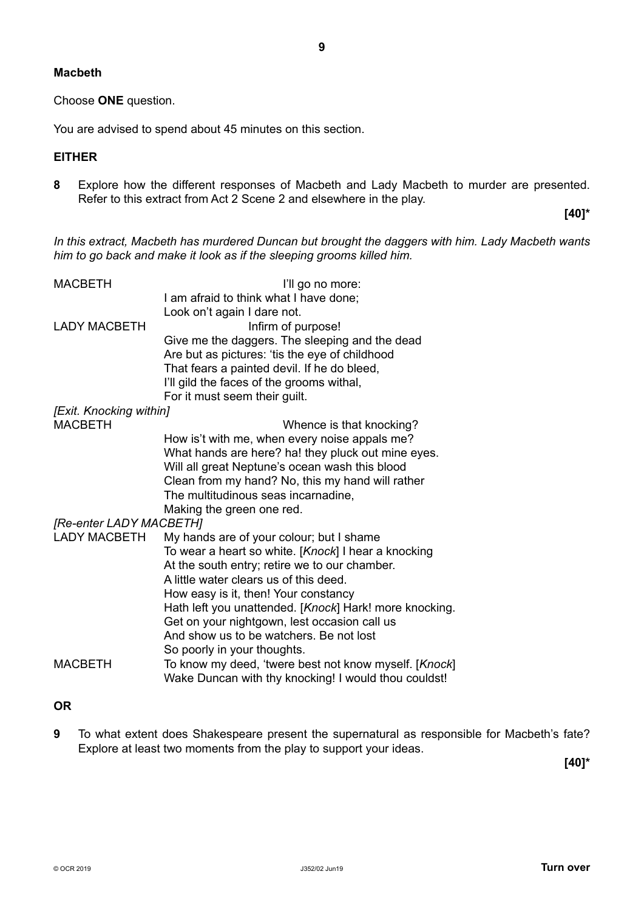#### **Macbeth**

Choose **ONE** question.

You are advised to spend about 45 minutes on this section.

## **EITHER**

**8** Explore how the different responses of Macbeth and Lady Macbeth to murder are presented. Refer to this extract from Act 2 Scene 2 and elsewhere in the play.

**[40]\*** 

*In this extract, Macbeth has murdered Duncan but brought the daggers with him. Lady Macbeth wants him to go back and make it look as if the sleeping grooms killed him.*

| <b>MACBETH</b>          | I'll go no more:                                                                                              |
|-------------------------|---------------------------------------------------------------------------------------------------------------|
|                         | I am afraid to think what I have done;                                                                        |
|                         | Look on't again I dare not.                                                                                   |
| <b>LADY MACBETH</b>     | Infirm of purpose!                                                                                            |
|                         | Give me the daggers. The sleeping and the dead                                                                |
|                         | Are but as pictures: 'tis the eye of childhood                                                                |
|                         | That fears a painted devil. If he do bleed,                                                                   |
|                         | I'll gild the faces of the grooms withal,                                                                     |
|                         | For it must seem their guilt.                                                                                 |
| [Exit. Knocking within] |                                                                                                               |
| <b>MACBETH</b>          | Whence is that knocking?                                                                                      |
|                         | How is't with me, when every noise appals me?                                                                 |
|                         | What hands are here? ha! they pluck out mine eyes.                                                            |
|                         | Will all great Neptune's ocean wash this blood                                                                |
|                         | Clean from my hand? No, this my hand will rather                                                              |
|                         | The multitudinous seas incarnadine,                                                                           |
|                         | Making the green one red.                                                                                     |
| [Re-enter LADY MACBETH] |                                                                                                               |
| <b>LADY MACBETH</b>     | My hands are of your colour; but I shame                                                                      |
|                         | To wear a heart so white. [Knock] I hear a knocking                                                           |
|                         | At the south entry; retire we to our chamber.                                                                 |
|                         | A little water clears us of this deed.                                                                        |
|                         | How easy is it, then! Your constancy                                                                          |
|                         | Hath left you unattended. [Knock] Hark! more knocking.                                                        |
|                         | Get on your nightgown, lest occasion call us                                                                  |
|                         | And show us to be watchers. Be not lost                                                                       |
|                         | So poorly in your thoughts.                                                                                   |
| <b>MACBETH</b>          | To know my deed, 'twere best not know myself. [Knock]<br>Wake Duncan with thy knocking! I would thou couldst! |

## **OR**

**9** To what extent does Shakespeare present the supernatural as responsible for Macbeth's fate? Explore at least two moments from the play to support your ideas.

**[40]\***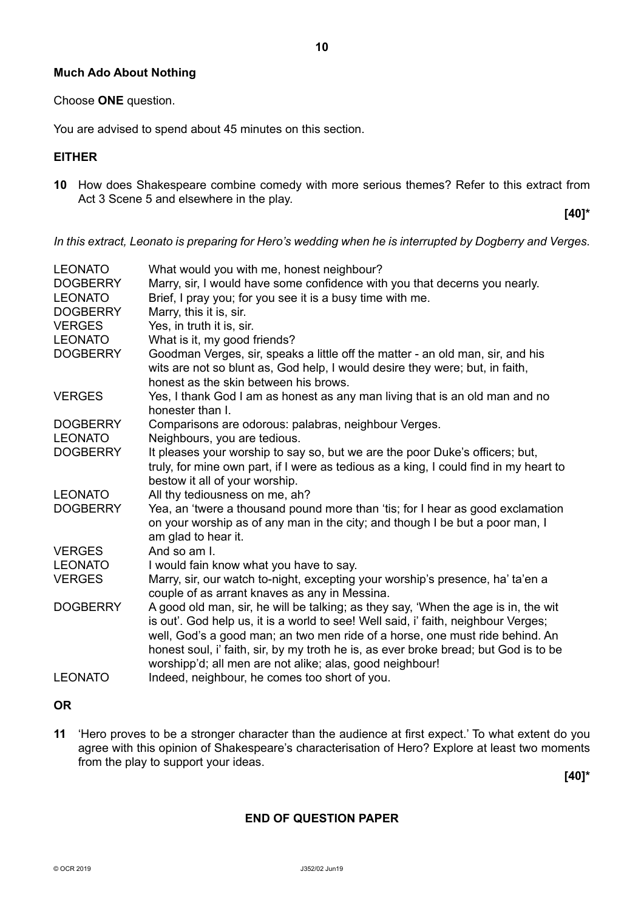#### **Much Ado About Nothing**

Choose **ONE** question.

You are advised to spend about 45 minutes on this section.

#### **EITHER**

**10** How does Shakespeare combine comedy with more serious themes? Refer to this extract from Act 3 Scene 5 and elsewhere in the play.

**[40]\*** 

*In this extract, Leonato is preparing for Hero's wedding when he is interrupted by Dogberry and Verges.* 

| <b>LEONATO</b>  | What would you with me, honest neighbour?                                                                                                                                                                                                                                                                                                                                                                    |
|-----------------|--------------------------------------------------------------------------------------------------------------------------------------------------------------------------------------------------------------------------------------------------------------------------------------------------------------------------------------------------------------------------------------------------------------|
| <b>DOGBERRY</b> | Marry, sir, I would have some confidence with you that decerns you nearly.                                                                                                                                                                                                                                                                                                                                   |
| <b>LEONATO</b>  | Brief, I pray you; for you see it is a busy time with me.                                                                                                                                                                                                                                                                                                                                                    |
| <b>DOGBERRY</b> | Marry, this it is, sir.                                                                                                                                                                                                                                                                                                                                                                                      |
| <b>VERGES</b>   | Yes, in truth it is, sir.                                                                                                                                                                                                                                                                                                                                                                                    |
| <b>LEONATO</b>  | What is it, my good friends?                                                                                                                                                                                                                                                                                                                                                                                 |
| <b>DOGBERRY</b> | Goodman Verges, sir, speaks a little off the matter - an old man, sir, and his<br>wits are not so blunt as, God help, I would desire they were; but, in faith,                                                                                                                                                                                                                                               |
|                 | honest as the skin between his brows.                                                                                                                                                                                                                                                                                                                                                                        |
| <b>VERGES</b>   | Yes, I thank God I am as honest as any man living that is an old man and no<br>honester than I.                                                                                                                                                                                                                                                                                                              |
| <b>DOGBERRY</b> | Comparisons are odorous: palabras, neighbour Verges.                                                                                                                                                                                                                                                                                                                                                         |
| <b>LEONATO</b>  | Neighbours, you are tedious.                                                                                                                                                                                                                                                                                                                                                                                 |
| <b>DOGBERRY</b> | It pleases your worship to say so, but we are the poor Duke's officers; but,                                                                                                                                                                                                                                                                                                                                 |
|                 | truly, for mine own part, if I were as tedious as a king, I could find in my heart to<br>bestow it all of your worship.                                                                                                                                                                                                                                                                                      |
| <b>LEONATO</b>  | All thy tediousness on me, ah?                                                                                                                                                                                                                                                                                                                                                                               |
| <b>DOGBERRY</b> | Yea, an 'twere a thousand pound more than 'tis; for I hear as good exclamation<br>on your worship as of any man in the city; and though I be but a poor man, I<br>am glad to hear it.                                                                                                                                                                                                                        |
| <b>VERGES</b>   | And so am I.                                                                                                                                                                                                                                                                                                                                                                                                 |
| <b>LEONATO</b>  | I would fain know what you have to say.                                                                                                                                                                                                                                                                                                                                                                      |
| <b>VERGES</b>   | Marry, sir, our watch to-night, excepting your worship's presence, ha' ta'en a<br>couple of as arrant knaves as any in Messina.                                                                                                                                                                                                                                                                              |
| <b>DOGBERRY</b> | A good old man, sir, he will be talking; as they say, 'When the age is in, the wit<br>is out'. God help us, it is a world to see! Well said, i' faith, neighbour Verges;<br>well, God's a good man; an two men ride of a horse, one must ride behind. An<br>honest soul, i' faith, sir, by my troth he is, as ever broke bread; but God is to be<br>worshipp'd; all men are not alike; alas, good neighbour! |
| <b>LEONATO</b>  | Indeed, neighbour, he comes too short of you.                                                                                                                                                                                                                                                                                                                                                                |

#### **OR**

**11** 'Hero proves to be a stronger character than the audience at first expect.' To what extent do you agree with this opinion of Shakespeare's characterisation of Hero? Explore at least two moments from the play to support your ideas.

**[40]\***

## **END OF QUESTION PAPER**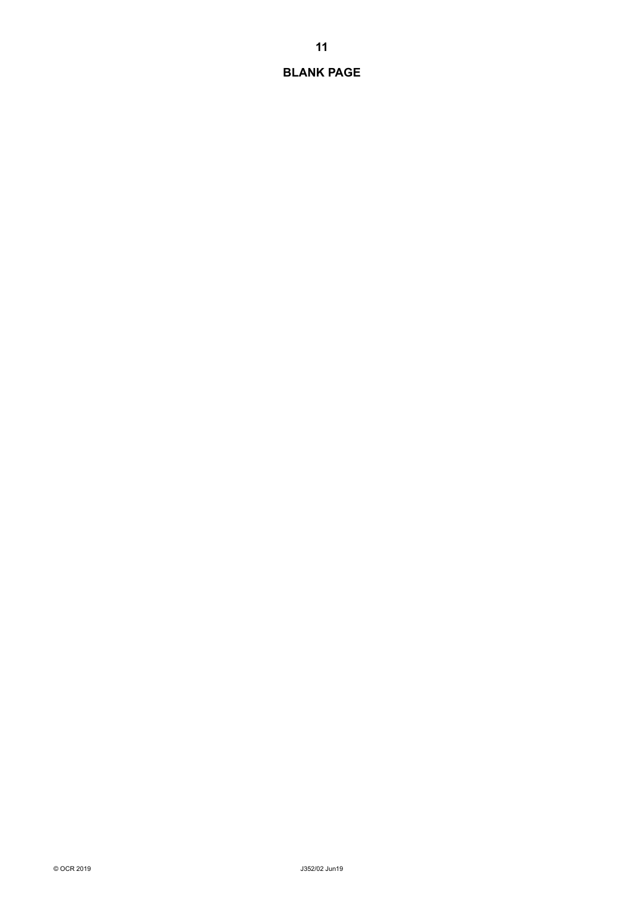# **BLANK PAGE**